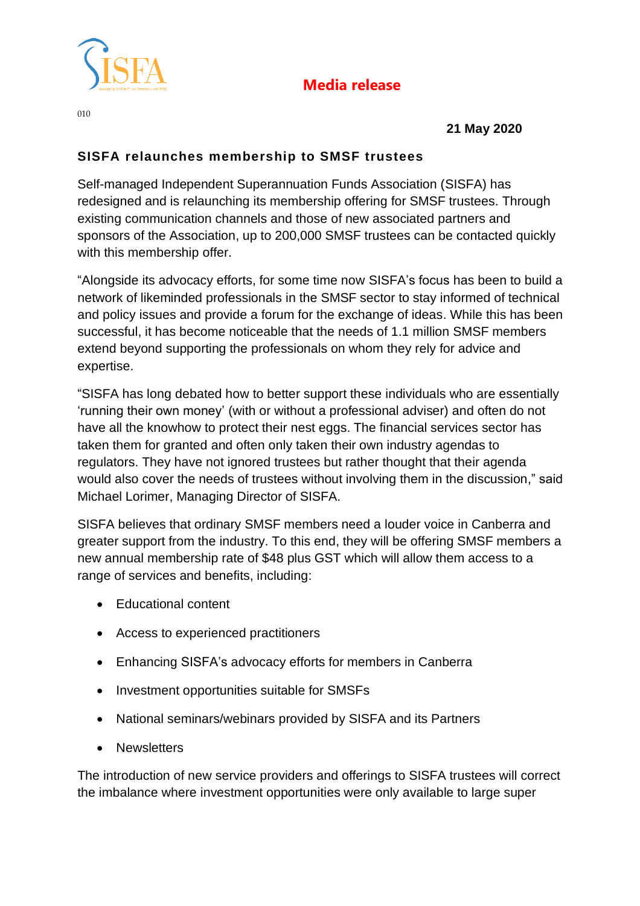

## **Media release**

010

 **21 May 2020**

## **SISFA relaunches membership to SMSF trustees**

Self-managed Independent Superannuation Funds Association (SISFA) has redesigned and is relaunching its membership offering for SMSF trustees. Through existing communication channels and those of new associated partners and sponsors of the Association, up to 200,000 SMSF trustees can be contacted quickly with this membership offer.

"Alongside its advocacy efforts, for some time now SISFA's focus has been to build a network of likeminded professionals in the SMSF sector to stay informed of technical and policy issues and provide a forum for the exchange of ideas. While this has been successful, it has become noticeable that the needs of 1.1 million SMSF members extend beyond supporting the professionals on whom they rely for advice and expertise.

"SISFA has long debated how to better support these individuals who are essentially 'running their own money' (with or without a professional adviser) and often do not have all the knowhow to protect their nest eggs. The financial services sector has taken them for granted and often only taken their own industry agendas to regulators. They have not ignored trustees but rather thought that their agenda would also cover the needs of trustees without involving them in the discussion," said Michael Lorimer, Managing Director of SISFA.

SISFA believes that ordinary SMSF members need a louder voice in Canberra and greater support from the industry. To this end, they will be offering SMSF members a new annual membership rate of \$48 plus GST which will allow them access to a range of services and benefits, including:

- Educational content
- Access to experienced practitioners
- Enhancing SISFA's advocacy efforts for members in Canberra
- Investment opportunities suitable for SMSFs
- National seminars/webinars provided by SISFA and its Partners
- Newsletters

The introduction of new service providers and offerings to SISFA trustees will correct the imbalance where investment opportunities were only available to large super